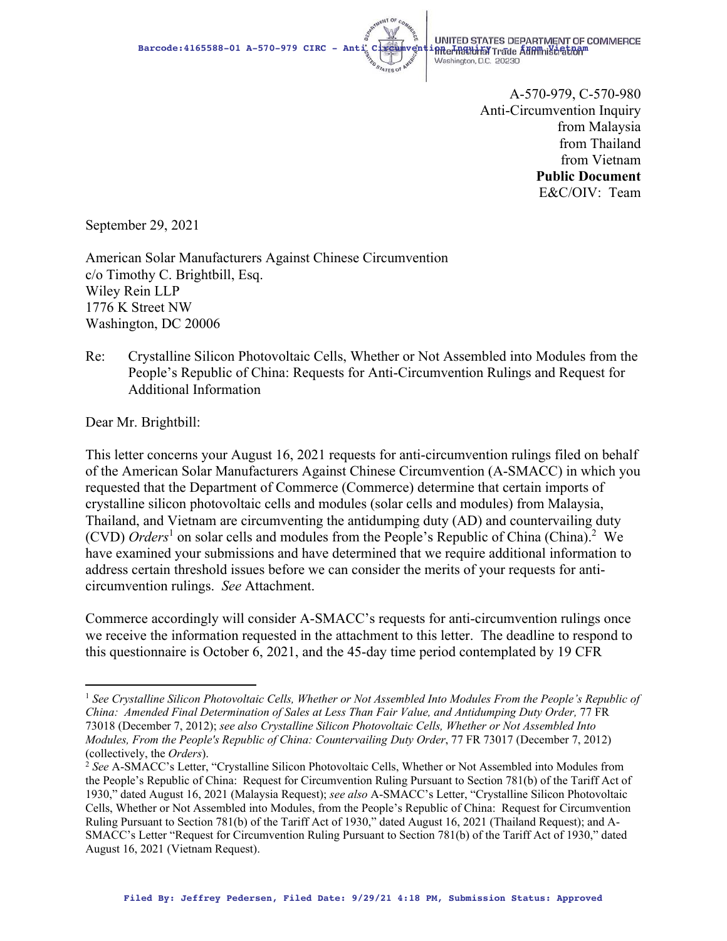

Barcode:4165588-01 A-570-979 CIRC - Anti Circumvention Inter STATES DEPARTMENT OF COMMERCE Washington, D.C. 20230

> A-570-979, C-570-980 Anti-Circumvention Inquiry from Malaysia from Thailand from Vietnam **Public Document**  E&C/OIV: Team

September 29, 2021

American Solar Manufacturers Against Chinese Circumvention c/o Timothy C. Brightbill, Esq. Wiley Rein LLP 1776 K Street NW Washington, DC 20006

Re: Crystalline Silicon Photovoltaic Cells, Whether or Not Assembled into Modules from the People's Republic of China: Requests for Anti-Circumvention Rulings and Request for Additional Information

Dear Mr. Brightbill:

This letter concerns your August 16, 2021 requests for anti-circumvention rulings filed on behalf of the American Solar Manufacturers Against Chinese Circumvention (A-SMACC) in which you requested that the Department of Commerce (Commerce) determine that certain imports of crystalline silicon photovoltaic cells and modules (solar cells and modules) from Malaysia, Thailand, and Vietnam are circumventing the antidumping duty (AD) and countervailing duty (CVD) *Orders*<sup>1</sup> on solar cells and modules from the People's Republic of China (China).<sup>2</sup> We have examined your submissions and have determined that we require additional information to address certain threshold issues before we can consider the merits of your requests for anticircumvention rulings. *See* Attachment.

Commerce accordingly will consider A-SMACC's requests for anti-circumvention rulings once we receive the information requested in the attachment to this letter. The deadline to respond to this questionnaire is October 6, 2021, and the 45-day time period contemplated by 19 CFR

<sup>1</sup> *See Crystalline Silicon Photovoltaic Cells, Whether or Not Assembled Into Modules From the People's Republic of China: Amended Final Determination of Sales at Less Than Fair Value, and Antidumping Duty Order,* 77 FR 73018 (December 7, 2012); *see also Crystalline Silicon Photovoltaic Cells, Whether or Not Assembled Into Modules, From the People's Republic of China: Countervailing Duty Order*, 77 FR 73017 (December 7, 2012) (collectively, the *Orders*). 2 *See* A-SMACC's Letter, "Crystalline Silicon Photovoltaic Cells, Whether or Not Assembled into Modules from

the People's Republic of China: Request for Circumvention Ruling Pursuant to Section 781(b) of the Tariff Act of 1930," dated August 16, 2021 (Malaysia Request); *see also* A-SMACC's Letter, "Crystalline Silicon Photovoltaic Cells, Whether or Not Assembled into Modules, from the People's Republic of China: Request for Circumvention Ruling Pursuant to Section 781(b) of the Tariff Act of 1930," dated August 16, 2021 (Thailand Request); and A-SMACC's Letter "Request for Circumvention Ruling Pursuant to Section 781(b) of the Tariff Act of 1930," dated August 16, 2021 (Vietnam Request).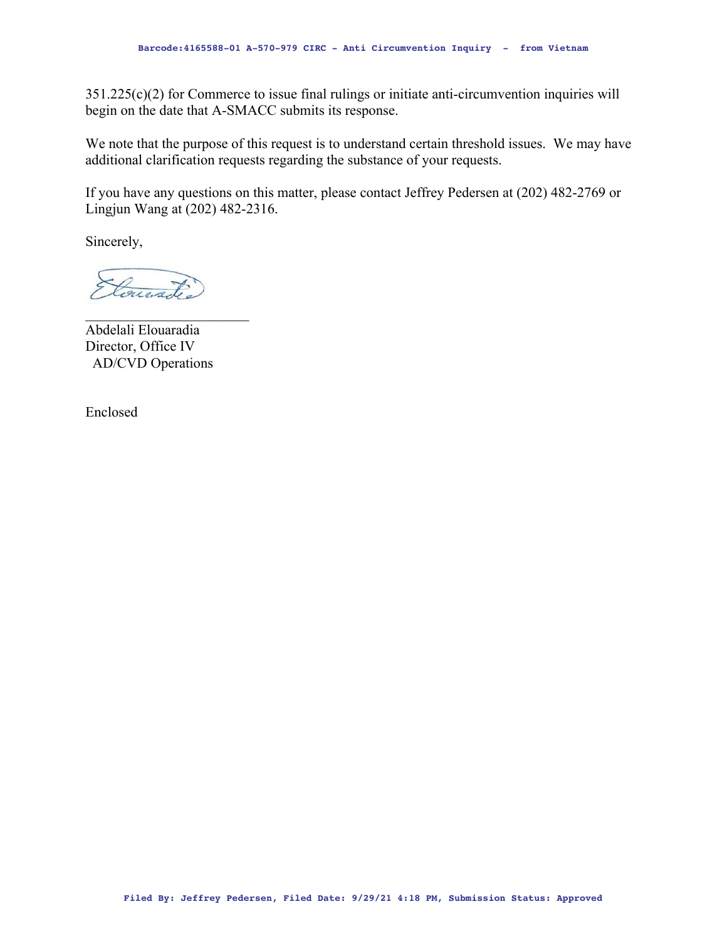351.225(c)(2) for Commerce to issue final rulings or initiate anti-circumvention inquiries will begin on the date that A-SMACC submits its response.

We note that the purpose of this request is to understand certain threshold issues. We may have additional clarification requests regarding the substance of your requests.

If you have any questions on this matter, please contact Jeffrey Pedersen at (202) 482-2769 or Lingjun Wang at (202) 482-2316.

Sincerely,

Concreted

Abdelali Elouaradia Director, Office IV AD/CVD Operations

Enclosed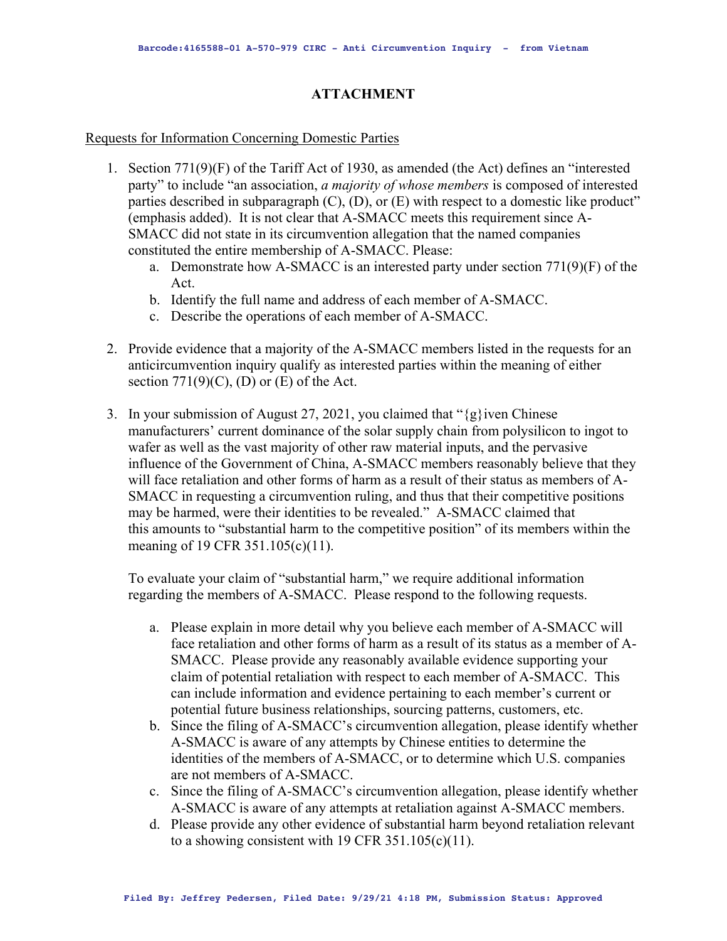## **ATTACHMENT**

## Requests for Information Concerning Domestic Parties

- 1. Section 771(9)(F) of the Tariff Act of 1930, as amended (the Act) defines an "interested party" to include "an association, *a majority of whose members* is composed of interested parties described in subparagraph (C), (D), or (E) with respect to a domestic like product" (emphasis added). It is not clear that A-SMACC meets this requirement since A-SMACC did not state in its circumvention allegation that the named companies constituted the entire membership of A-SMACC. Please:
	- a. Demonstrate how A-SMACC is an interested party under section 771(9)(F) of the Act.
	- b. Identify the full name and address of each member of A-SMACC.
	- c. Describe the operations of each member of A-SMACC.
- 2. Provide evidence that a majority of the A-SMACC members listed in the requests for an anticircumvention inquiry qualify as interested parties within the meaning of either section  $771(9)(C)$ , (D) or (E) of the Act.
- 3. In your submission of August 27, 2021, you claimed that " $\{g\}$  iven Chinese" manufacturers' current dominance of the solar supply chain from polysilicon to ingot to wafer as well as the vast majority of other raw material inputs, and the pervasive influence of the Government of China, A-SMACC members reasonably believe that they will face retaliation and other forms of harm as a result of their status as members of A-SMACC in requesting a circumvention ruling, and thus that their competitive positions may be harmed, were their identities to be revealed." A-SMACC claimed that this amounts to "substantial harm to the competitive position" of its members within the meaning of 19 CFR 351.105(c)(11).

To evaluate your claim of "substantial harm," we require additional information regarding the members of A-SMACC. Please respond to the following requests.

- a. Please explain in more detail why you believe each member of A-SMACC will face retaliation and other forms of harm as a result of its status as a member of A-SMACC. Please provide any reasonably available evidence supporting your claim of potential retaliation with respect to each member of A-SMACC. This can include information and evidence pertaining to each member's current or potential future business relationships, sourcing patterns, customers, etc.
- b. Since the filing of A-SMACC's circumvention allegation, please identify whether A-SMACC is aware of any attempts by Chinese entities to determine the identities of the members of A-SMACC, or to determine which U.S. companies are not members of A-SMACC.
- c. Since the filing of A-SMACC's circumvention allegation, please identify whether A-SMACC is aware of any attempts at retaliation against A-SMACC members.
- d. Please provide any other evidence of substantial harm beyond retaliation relevant to a showing consistent with 19 CFR  $351.105(c)(11)$ .